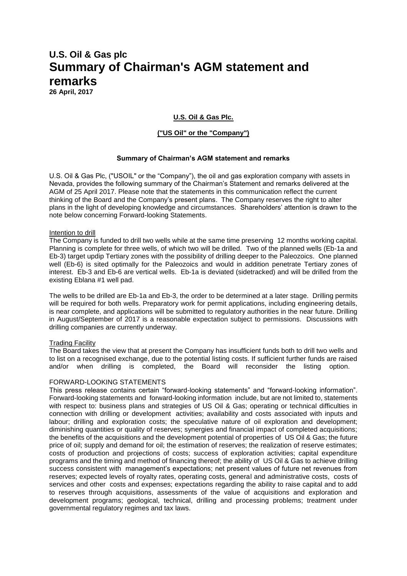# **U.S. Oil & Gas plc Summary of Chairman's AGM statement and remarks**

**26 April, 2017**

# **U.S. Oil & Gas Plc.**

# **("US Oil" or the "Company")**

# **Summary of Chairman's AGM statement and remarks**

U.S. Oil & Gas Plc, ("USOIL" or the "Company"), the oil and gas exploration company with assets in Nevada, provides the following summary of the Chairman's Statement and remarks delivered at the AGM of 25 April 2017. Please note that the statements in this communication reflect the current thinking of the Board and the Company's present plans. The Company reserves the right to alter plans in the light of developing knowledge and circumstances. Shareholders' attention is drawn to the note below concerning Forward-looking Statements.

### Intention to drill

The Company is funded to drill two wells while at the same time preserving 12 months working capital. Planning is complete for three wells, of which two will be drilled. Two of the planned wells (Eb-1a and Eb-3) target updip Tertiary zones with the possibility of drilling deeper to the Paleozoics. One planned well (Eb-6) is sited optimally for the Paleozoics and would in addition penetrate Tertiary zones of interest. Eb-3 and Eb-6 are vertical wells. Eb-1a is deviated (sidetracked) and will be drilled from the existing Eblana #1 well pad.

The wells to be drilled are Eb-1a and Eb-3, the order to be determined at a later stage. Drilling permits will be required for both wells. Preparatory work for permit applications, including engineering details, is near complete, and applications will be submitted to regulatory authorities in the near future. Drilling in August/September of 2017 is a reasonable expectation subject to permissions. Discussions with drilling companies are currently underway.

### Trading Facility

The Board takes the view that at present the Company has insufficient funds both to drill two wells and to list on a recognised exchange, due to the potential listing costs. If sufficient further funds are raised and/or when drilling is completed, the Board will reconsider the listing option.

### FORWARD-LOOKING STATEMENTS

This press release contains certain "forward-looking statements" and "forward-looking information". Forward-looking statements and forward-looking information include, but are not limited to, statements with respect to: business plans and strategies of US Oil & Gas; operating or technical difficulties in connection with drilling or development activities; availability and costs associated with inputs and labour; drilling and exploration costs; the speculative nature of oil exploration and development; diminishing quantities or quality of reserves; synergies and financial impact of completed acquisitions; the benefits of the acquisitions and the development potential of properties of US Oil & Gas; the future price of oil; supply and demand for oil; the estimation of reserves; the realization of reserve estimates; costs of production and projections of costs; success of exploration activities; capital expenditure programs and the timing and method of financing thereof; the ability of US Oil & Gas to achieve drilling success consistent with management's expectations; net present values of future net revenues from reserves; expected levels of royalty rates, operating costs, general and administrative costs, costs of services and other costs and expenses; expectations regarding the ability to raise capital and to add to reserves through acquisitions, assessments of the value of acquisitions and exploration and development programs; geological, technical, drilling and processing problems; treatment under governmental regulatory regimes and tax laws.